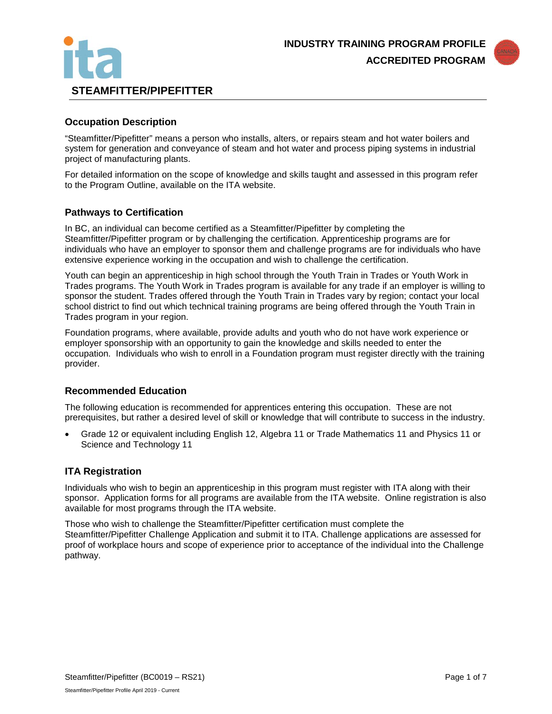



# **Occupation Description**

"Steamfitter/Pipefitter" means a person who installs, alters, or repairs steam and hot water boilers and system for generation and conveyance of steam and hot water and process piping systems in industrial project of manufacturing plants.

For detailed information on the scope of knowledge and skills taught and assessed in this program refer to the Program Outline, available on the ITA website.

## **Pathways to Certification**

In BC, an individual can become certified as a Steamfitter/Pipefitter by completing the Steamfitter/Pipefitter program or by challenging the certification. Apprenticeship programs are for individuals who have an employer to sponsor them and challenge programs are for individuals who have extensive experience working in the occupation and wish to challenge the certification.

Youth can begin an apprenticeship in high school through the Youth Train in Trades or Youth Work in Trades programs. The Youth Work in Trades program is available for any trade if an employer is willing to sponsor the student. Trades offered through the Youth Train in Trades vary by region; contact your local school district to find out which technical training programs are being offered through the Youth Train in Trades program in your region.

Foundation programs, where available, provide adults and youth who do not have work experience or employer sponsorship with an opportunity to gain the knowledge and skills needed to enter the occupation. Individuals who wish to enroll in a Foundation program must register directly with the training provider.

## **Recommended Education**

The following education is recommended for apprentices entering this occupation. These are not prerequisites, but rather a desired level of skill or knowledge that will contribute to success in the industry.

• Grade 12 or equivalent including English 12, Algebra 11 or Trade Mathematics 11 and Physics 11 or Science and Technology 11

# **ITA Registration**

Individuals who wish to begin an apprenticeship in this program must register with ITA along with their sponsor. Application forms for all programs are available from the ITA website. Online registration is also available for most programs through the ITA website.

Those who wish to challenge the Steamfitter/Pipefitter certification must complete the Steamfitter/Pipefitter Challenge Application and submit it to ITA. Challenge applications are assessed for proof of workplace hours and scope of experience prior to acceptance of the individual into the Challenge pathway.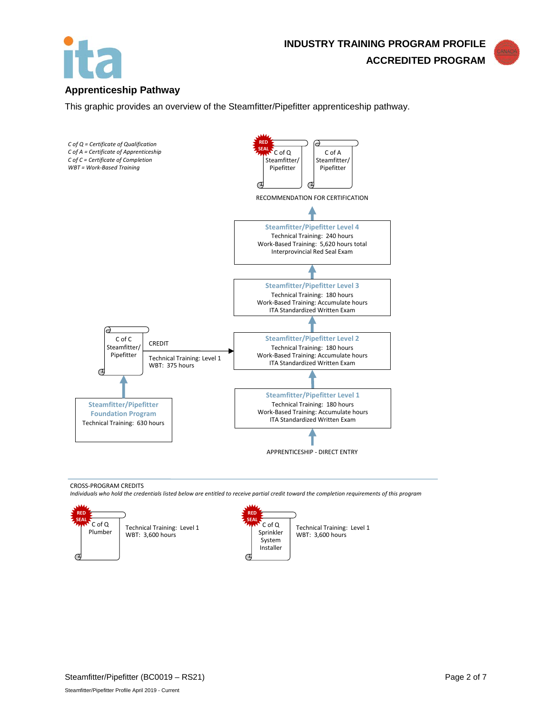



# **Apprenticeship Pathway**

This graphic provides an overview of the Steamfitter/Pipefitter apprenticeship pathway.



CROSS-PROGRAM CREDITS

*Individuals who hold the credentials listed below are entitled to receive partial credit toward the completion requirements of this program*

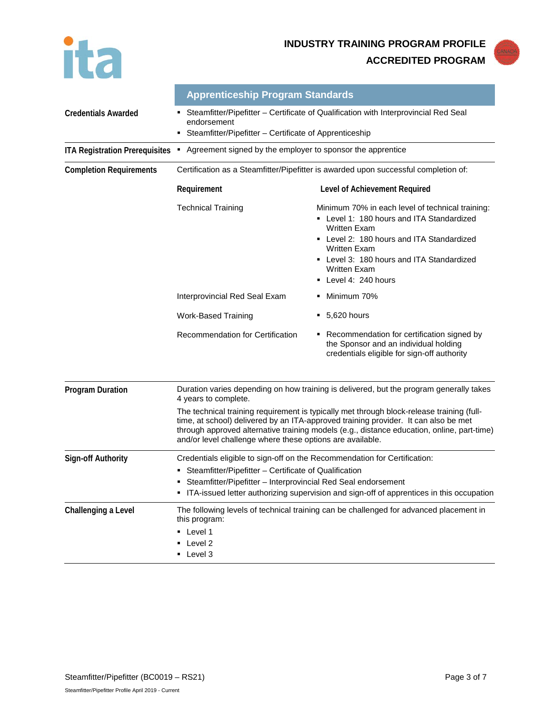

|                                       | <b>Apprenticeship Program Standards</b>                                                                                                                                                                                                                                                                                                     |                                                                                                                                                                                                                                                                                    |  |  |
|---------------------------------------|---------------------------------------------------------------------------------------------------------------------------------------------------------------------------------------------------------------------------------------------------------------------------------------------------------------------------------------------|------------------------------------------------------------------------------------------------------------------------------------------------------------------------------------------------------------------------------------------------------------------------------------|--|--|
| <b>Credentials Awarded</b>            | Steamfitter/Pipefitter - Certificate of Qualification with Interprovincial Red Seal<br>endorsement<br>Steamfitter/Pipefitter - Certificate of Apprenticeship                                                                                                                                                                                |                                                                                                                                                                                                                                                                                    |  |  |
| <b>ITA Registration Prerequisites</b> | Agreement signed by the employer to sponsor the apprentice<br>٠                                                                                                                                                                                                                                                                             |                                                                                                                                                                                                                                                                                    |  |  |
| <b>Completion Requirements</b>        | Certification as a Steamfitter/Pipefitter is awarded upon successful completion of:                                                                                                                                                                                                                                                         |                                                                                                                                                                                                                                                                                    |  |  |
|                                       | Requirement                                                                                                                                                                                                                                                                                                                                 | Level of Achievement Required                                                                                                                                                                                                                                                      |  |  |
|                                       | <b>Technical Training</b>                                                                                                                                                                                                                                                                                                                   | Minimum 70% in each level of technical training:<br>- Level 1: 180 hours and ITA Standardized<br><b>Written Exam</b><br>• Level 2: 180 hours and ITA Standardized<br><b>Written Exam</b><br>• Level 3: 180 hours and ITA Standardized<br><b>Written Exam</b><br>Level 4: 240 hours |  |  |
|                                       | Interprovincial Red Seal Exam                                                                                                                                                                                                                                                                                                               | Minimum 70%                                                                                                                                                                                                                                                                        |  |  |
|                                       | <b>Work-Based Training</b>                                                                                                                                                                                                                                                                                                                  | $-5,620$ hours                                                                                                                                                                                                                                                                     |  |  |
|                                       | Recommendation for Certification                                                                                                                                                                                                                                                                                                            | Recommendation for certification signed by<br>the Sponsor and an individual holding<br>credentials eligible for sign-off authority                                                                                                                                                 |  |  |
| <b>Program Duration</b>               | Duration varies depending on how training is delivered, but the program generally takes<br>4 years to complete.                                                                                                                                                                                                                             |                                                                                                                                                                                                                                                                                    |  |  |
|                                       | The technical training requirement is typically met through block-release training (full-<br>time, at school) delivered by an ITA-approved training provider. It can also be met<br>through approved alternative training models (e.g., distance education, online, part-time)<br>and/or level challenge where these options are available. |                                                                                                                                                                                                                                                                                    |  |  |
| <b>Sign-off Authority</b>             | Credentials eligible to sign-off on the Recommendation for Certification:<br>Steamfitter/Pipefitter - Certificate of Qualification<br>Steamfitter/Pipefitter - Interprovincial Red Seal endorsement<br>ITA-issued letter authorizing supervision and sign-off of apprentices in this occupation                                             |                                                                                                                                                                                                                                                                                    |  |  |
| Challenging a Level                   | The following levels of technical training can be challenged for advanced placement in<br>this program:<br>• Level 1<br>Level 2<br>■ Level 3                                                                                                                                                                                                |                                                                                                                                                                                                                                                                                    |  |  |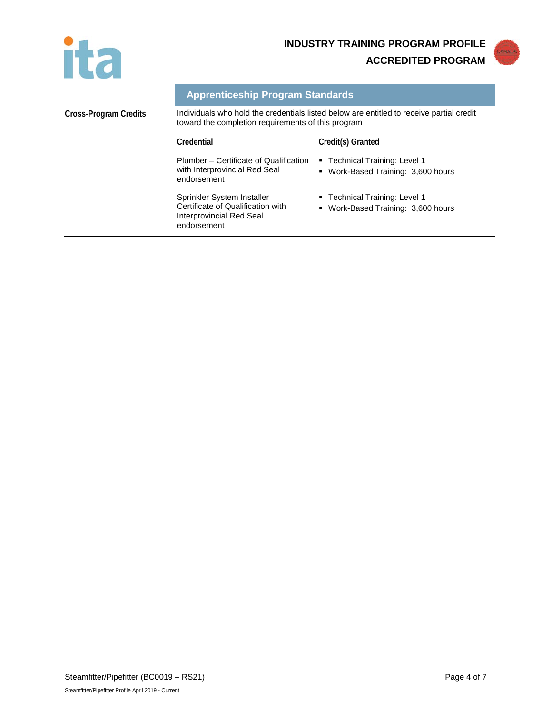



|                       | <b>Apprenticeship Program Standards</b>                                                                                                        |                                                                     |
|-----------------------|------------------------------------------------------------------------------------------------------------------------------------------------|---------------------------------------------------------------------|
| Cross-Program Credits | Individuals who hold the credentials listed below are entitled to receive partial credit<br>toward the completion requirements of this program |                                                                     |
|                       | Credential                                                                                                                                     | Credit(s) Granted                                                   |
|                       | Plumber – Certificate of Qualification<br>with Interprovincial Red Seal<br>endorsement                                                         | ■ Technical Training: Level 1<br>• Work-Based Training: 3,600 hours |
|                       | Sprinkler System Installer-<br>Certificate of Qualification with<br>Interprovincial Red Seal<br>endorsement                                    | • Technical Training: Level 1<br>• Work-Based Training: 3,600 hours |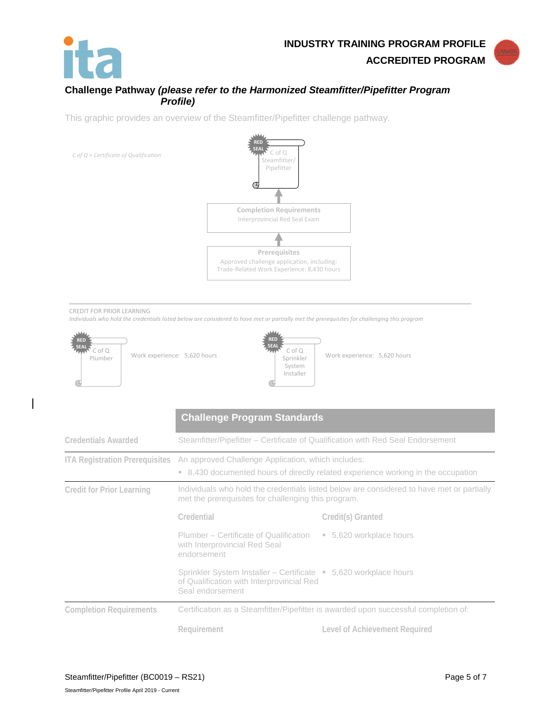

# **Challenge Pathway** *(please refer to the Harmonized Steamfitter/Pipefitter Program Profile)*

This graphic provides an overview of the Steamfitter/Pipefitter challenge pathway.



#### CREDIT FOR PRIOR LEARNING

*Individuals who hold the credentials listed below are considered to have met or partially met the prerequisites for challenging this program*



|                                       | <b>Challenge Program Standards</b>                                                                                                               |                               |  |
|---------------------------------------|--------------------------------------------------------------------------------------------------------------------------------------------------|-------------------------------|--|
| <b>Credentials Awarded</b>            | Steamfitter/Pipefitter – Certificate of Qualification with Red Seal Endorsement                                                                  |                               |  |
| <b>ITA Registration Prerequisites</b> | An approved Challenge Application, which includes:<br>• 8,430 documented hours of directly related experience working in the occupation          |                               |  |
| <b>Credit for Prior Learning</b>      | Individuals who hold the credentials listed below are considered to have met or partially<br>met the prerequisites for challenging this program. |                               |  |
|                                       | Credential                                                                                                                                       | Credit(s) Granted             |  |
|                                       | Plumber – Certificate of Qualification<br>with Interprovincial Red Seal<br>endorsement                                                           | ■ 5,620 workplace hours       |  |
|                                       | Sprinkler System Installer – Certificate • 5,620 workplace hours<br>of Qualification with Interprovincial Red<br>Seal endorsement                |                               |  |
| <b>Completion Requirements</b>        | Certification as a Steamfitter/Pipefitter is awarded upon successful completion of:                                                              |                               |  |
|                                       | Requirement                                                                                                                                      | Level of Achievement Required |  |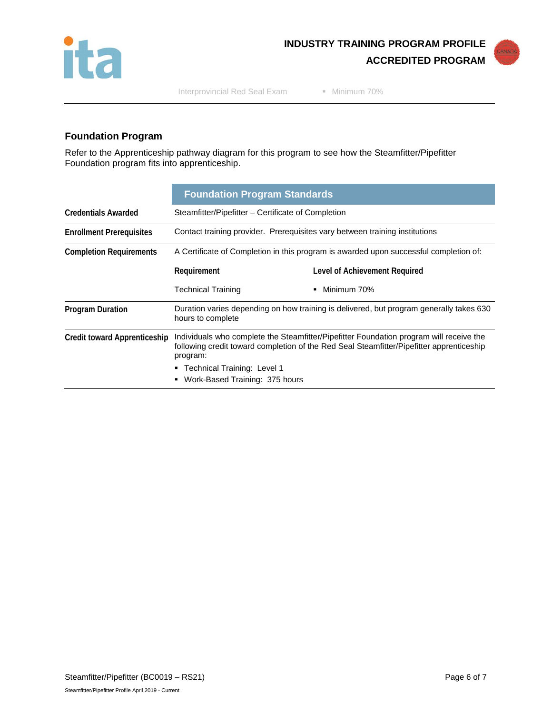

Interprovincial Red Seal Exam Minimum 70%

# **Foundation Program**

Refer to the Apprenticeship pathway diagram for this program to see how the Steamfitter/Pipefitter Foundation program fits into apprenticeship.

|                                     | <b>Foundation Program Standards</b>                                                                                                                                                                                                                                     |                               |  |
|-------------------------------------|-------------------------------------------------------------------------------------------------------------------------------------------------------------------------------------------------------------------------------------------------------------------------|-------------------------------|--|
| <b>Credentials Awarded</b>          | Steamfitter/Pipefitter – Certificate of Completion                                                                                                                                                                                                                      |                               |  |
| <b>Enrollment Prerequisites</b>     | Contact training provider. Prerequisites vary between training institutions                                                                                                                                                                                             |                               |  |
| <b>Completion Requirements</b>      | A Certificate of Completion in this program is awarded upon successful completion of:                                                                                                                                                                                   |                               |  |
|                                     | Requirement                                                                                                                                                                                                                                                             | Level of Achievement Required |  |
|                                     | <b>Technical Training</b>                                                                                                                                                                                                                                               | Minimum 70%<br>٠              |  |
| <b>Program Duration</b>             | Duration varies depending on how training is delivered, but program generally takes 630<br>hours to complete                                                                                                                                                            |                               |  |
| <b>Credit toward Apprenticeship</b> | Individuals who complete the Steamfitter/Pipefitter Foundation program will receive the<br>following credit toward completion of the Red Seal Steamfitter/Pipefitter apprenticeship<br>program:<br>■ Technical Training: Level 1<br>Work-Based Training: 375 hours<br>٠ |                               |  |